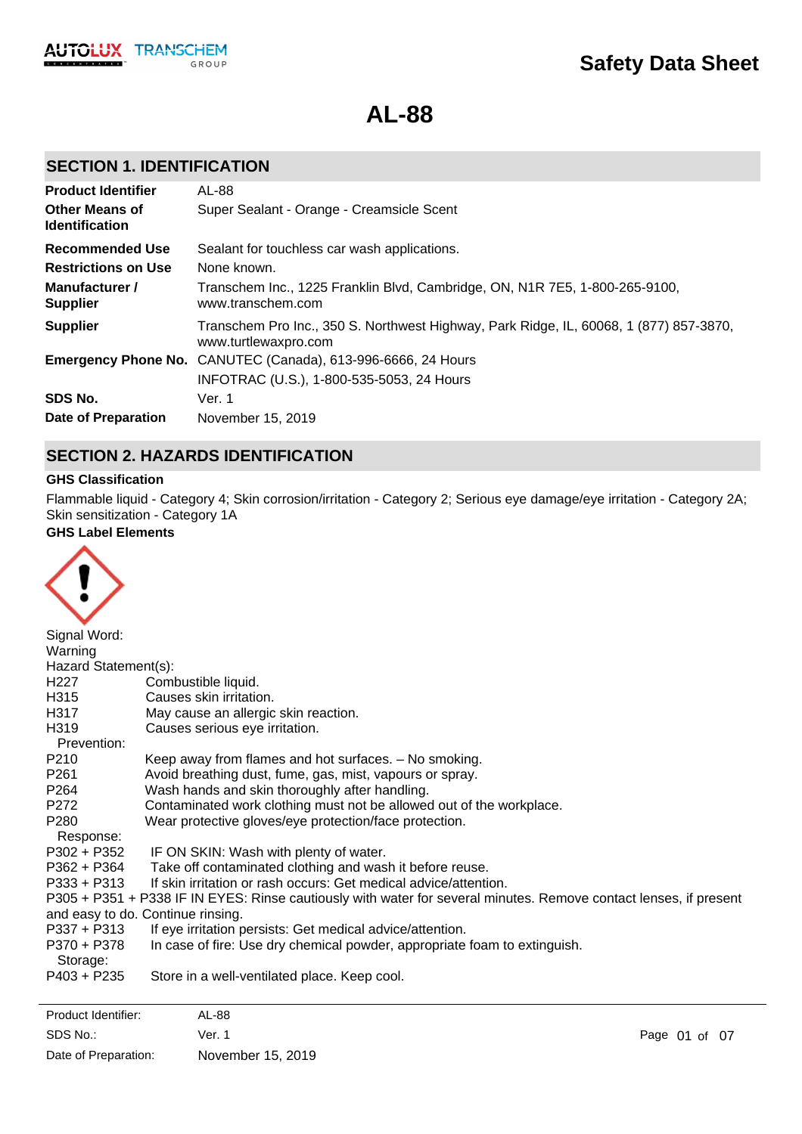

**AL-88**

## **SECTION 1. IDENTIFICATION**

| <b>Product Identifier</b>                      | AL-88                                                                                                          |
|------------------------------------------------|----------------------------------------------------------------------------------------------------------------|
| <b>Other Means of</b><br><b>Identification</b> | Super Sealant - Orange - Creamsicle Scent                                                                      |
| <b>Recommended Use</b>                         | Sealant for touchless car wash applications.                                                                   |
| <b>Restrictions on Use</b>                     | None known.                                                                                                    |
| Manufacturer /<br><b>Supplier</b>              | Transchem Inc., 1225 Franklin Blvd, Cambridge, ON, N1R 7E5, 1-800-265-9100,<br>www.transchem.com               |
| <b>Supplier</b>                                | Transchem Pro Inc., 350 S. Northwest Highway, Park Ridge, IL, 60068, 1 (877) 857-3870,<br>www.turtlewaxpro.com |
|                                                | <b>Emergency Phone No.</b> CANUTEC (Canada), 613-996-6666, 24 Hours                                            |
|                                                | INFOTRAC (U.S.), 1-800-535-5053, 24 Hours                                                                      |
| SDS No.                                        | Ver. 1                                                                                                         |
| <b>Date of Preparation</b>                     | November 15, 2019                                                                                              |

## **SECTION 2. HAZARDS IDENTIFICATION**

#### **GHS Classification**

Flammable liquid - Category 4; Skin corrosion/irritation - Category 2; Serious eye damage/eye irritation - Category 2A; Skin sensitization - Category 1A

## **GHS Label Elements**



| Signal Word:         |                                                                                                                   |
|----------------------|-------------------------------------------------------------------------------------------------------------------|
| Warning              |                                                                                                                   |
| Hazard Statement(s): |                                                                                                                   |
| H <sub>227</sub>     | Combustible liquid.                                                                                               |
| H315                 | Causes skin irritation.                                                                                           |
| H317                 | May cause an allergic skin reaction.                                                                              |
| H319                 | Causes serious eye irritation.                                                                                    |
| Prevention:          |                                                                                                                   |
| P210                 | Keep away from flames and hot surfaces. - No smoking.                                                             |
| P <sub>261</sub>     | Avoid breathing dust, fume, gas, mist, vapours or spray.                                                          |
| P264                 | Wash hands and skin thoroughly after handling.                                                                    |
| P272                 | Contaminated work clothing must not be allowed out of the workplace.                                              |
| P280                 | Wear protective gloves/eye protection/face protection.                                                            |
| Response:            |                                                                                                                   |
| $P302 + P352$        | IF ON SKIN: Wash with plenty of water.                                                                            |
| P362 + P364          | Take off contaminated clothing and wash it before reuse.                                                          |
| $P333 + P313$        | If skin irritation or rash occurs: Get medical advice/attention.                                                  |
|                      | P305 + P351 + P338 IF IN EYES: Rinse cautiously with water for several minutes. Remove contact lenses, if present |
|                      | and easy to do. Continue rinsing.                                                                                 |
| P337 + P313          | If eye irritation persists: Get medical advice/attention.                                                         |
| P370 + P378          | In case of fire: Use dry chemical powder, appropriate foam to extinguish.                                         |
| Storage:             |                                                                                                                   |
| $P403 + P235$        | Store in a well-ventilated place. Keep cool.                                                                      |
|                      |                                                                                                                   |
|                      |                                                                                                                   |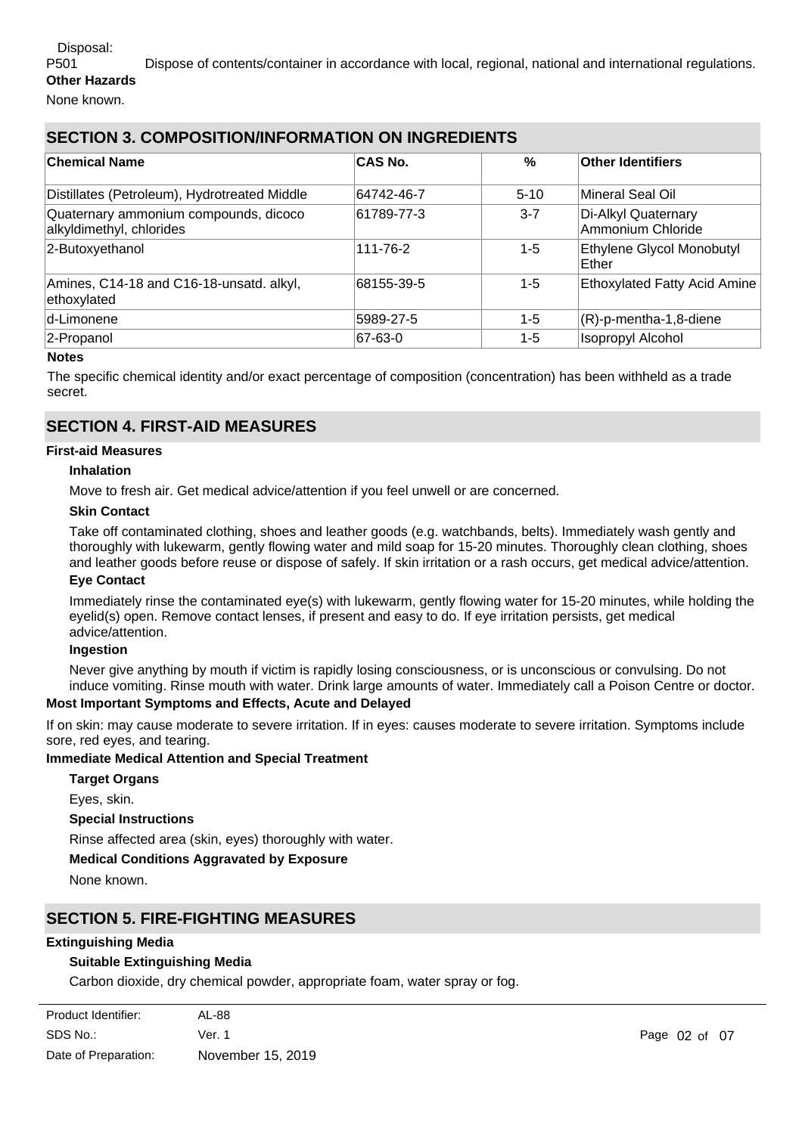### Disposal:

P501 Dispose of contents/container in accordance with local, regional, national and international regulations. **Other Hazards**

None known.

## **SECTION 3. COMPOSITION/INFORMATION ON INGREDIENTS**

| <b>Chemical Name</b>                                              | <b>CAS No.</b> | $\%$    | Other Identifiers                        |
|-------------------------------------------------------------------|----------------|---------|------------------------------------------|
| Distillates (Petroleum), Hydrotreated Middle                      | 64742-46-7     | $5-10$  | Mineral Seal Oil                         |
| Quaternary ammonium compounds, dicoco<br>alkyldimethyl, chlorides | 61789-77-3     | $3 - 7$ | Di-Alkyl Quaternary<br>Ammonium Chloride |
| 2-Butoxyethanol                                                   | 111-76-2       | $1 - 5$ | Ethylene Glycol Monobutyl<br>Ether       |
| Amines, C14-18 and C16-18-unsatd. alkyl,<br>ethoxylated           | 68155-39-5     | $1 - 5$ | <b>Ethoxylated Fatty Acid Amine</b>      |
| d-Limonene                                                        | 5989-27-5      | $1 - 5$ | $(R)-p$ -mentha-1,8-diene                |
| 2-Propanol                                                        | 67-63-0        | 1-5     | <b>Isopropyl Alcohol</b>                 |

#### **Notes**

The specific chemical identity and/or exact percentage of composition (concentration) has been withheld as a trade secret.

## **SECTION 4. FIRST-AID MEASURES**

#### **First-aid Measures**

#### **Inhalation**

Move to fresh air. Get medical advice/attention if you feel unwell or are concerned.

#### **Skin Contact**

Take off contaminated clothing, shoes and leather goods (e.g. watchbands, belts). Immediately wash gently and thoroughly with lukewarm, gently flowing water and mild soap for 15-20 minutes. Thoroughly clean clothing, shoes and leather goods before reuse or dispose of safely. If skin irritation or a rash occurs, get medical advice/attention.

#### **Eye Contact**

Immediately rinse the contaminated eye(s) with lukewarm, gently flowing water for 15-20 minutes, while holding the eyelid(s) open. Remove contact lenses, if present and easy to do. If eye irritation persists, get medical advice/attention.

#### **Ingestion**

Never give anything by mouth if victim is rapidly losing consciousness, or is unconscious or convulsing. Do not induce vomiting. Rinse mouth with water. Drink large amounts of water. Immediately call a Poison Centre or doctor.

#### **Most Important Symptoms and Effects, Acute and Delayed**

If on skin: may cause moderate to severe irritation. If in eyes: causes moderate to severe irritation. Symptoms include sore, red eyes, and tearing.

#### **Immediate Medical Attention and Special Treatment**

**Target Organs**

Eyes, skin.

#### **Special Instructions**

Rinse affected area (skin, eyes) thoroughly with water.

#### **Medical Conditions Aggravated by Exposure**

None known.

### **SECTION 5. FIRE-FIGHTING MEASURES**

#### **Extinguishing Media**

#### **Suitable Extinguishing Media**

**Unsuitable Extinguishing Media**

Carbon dioxide, dry chemical powder, appropriate foam, water spray or fog.

| Product Identifier:  | AL-88             |
|----------------------|-------------------|
| SDS No.:             | Ver. 1            |
| Date of Preparation: | November 15, 2019 |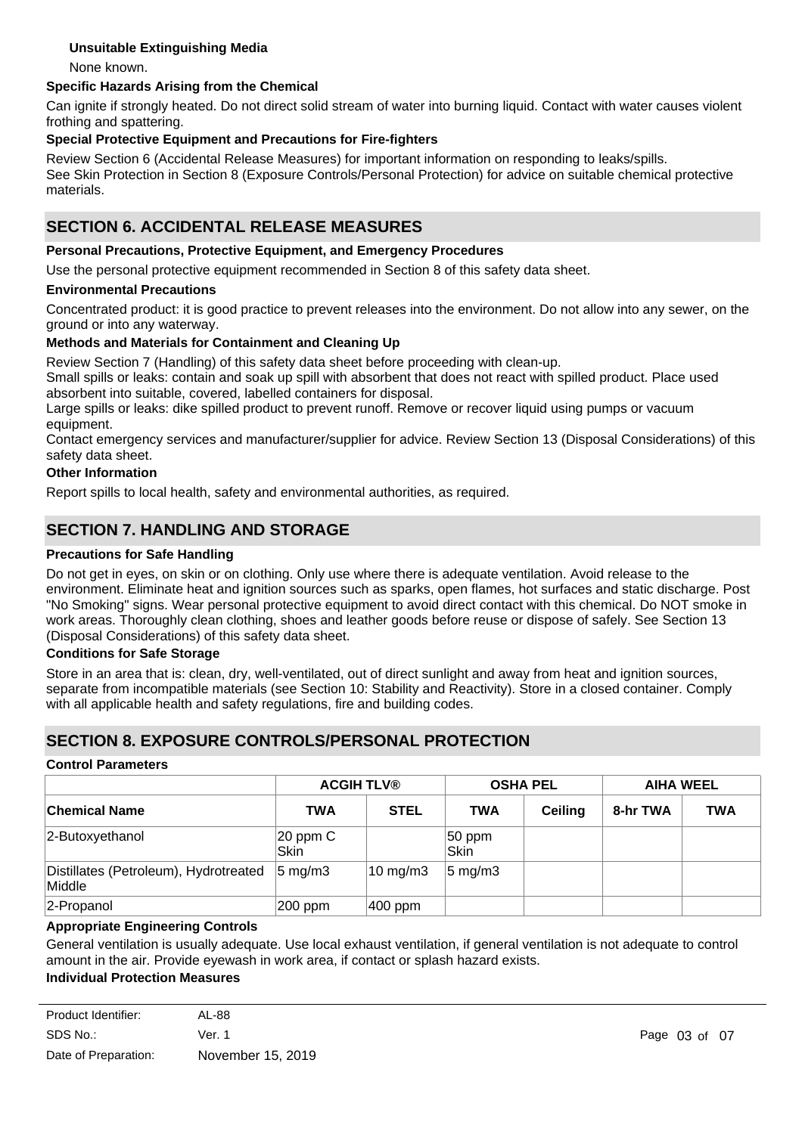### **Unsuitable Extinguishing Media**

None known.

#### **Specific Hazards Arising from the Chemical**

Can ignite if strongly heated. Do not direct solid stream of water into burning liquid. Contact with water causes violent frothing and spattering.

#### **Special Protective Equipment and Precautions for Fire-fighters**

Review Section 6 (Accidental Release Measures) for important information on responding to leaks/spills. See Skin Protection in Section 8 (Exposure Controls/Personal Protection) for advice on suitable chemical protective materials.

## **SECTION 6. ACCIDENTAL RELEASE MEASURES**

#### **Personal Precautions, Protective Equipment, and Emergency Procedures**

Use the personal protective equipment recommended in Section 8 of this safety data sheet.

#### **Environmental Precautions**

Concentrated product: it is good practice to prevent releases into the environment. Do not allow into any sewer, on the ground or into any waterway.

#### **Methods and Materials for Containment and Cleaning Up**

Review Section 7 (Handling) of this safety data sheet before proceeding with clean-up.

Small spills or leaks: contain and soak up spill with absorbent that does not react with spilled product. Place used absorbent into suitable, covered, labelled containers for disposal.

Large spills or leaks: dike spilled product to prevent runoff. Remove or recover liquid using pumps or vacuum equipment.

Contact emergency services and manufacturer/supplier for advice. Review Section 13 (Disposal Considerations) of this safety data sheet.

#### **Other Information**

Report spills to local health, safety and environmental authorities, as required.

## **SECTION 7. HANDLING AND STORAGE**

#### **Precautions for Safe Handling**

Do not get in eyes, on skin or on clothing. Only use where there is adequate ventilation. Avoid release to the environment. Eliminate heat and ignition sources such as sparks, open flames, hot surfaces and static discharge. Post "No Smoking" signs. Wear personal protective equipment to avoid direct contact with this chemical. Do NOT smoke in work areas. Thoroughly clean clothing, shoes and leather goods before reuse or dispose of safely. See Section 13 (Disposal Considerations) of this safety data sheet.

#### **Conditions for Safe Storage**

Store in an area that is: clean, dry, well-ventilated, out of direct sunlight and away from heat and ignition sources, separate from incompatible materials (see Section 10: Stability and Reactivity). Store in a closed container. Comply with all applicable health and safety regulations, fire and building codes.

### **SECTION 8. EXPOSURE CONTROLS/PERSONAL PROTECTION**

#### **Control Parameters**

|                                                 | <b>ACGIH TLV®</b>    |                     | <b>OSHA PEL</b>     |                | <b>AIHA WEEL</b> |            |
|-------------------------------------------------|----------------------|---------------------|---------------------|----------------|------------------|------------|
| <b>Chemical Name</b>                            | <b>TWA</b>           | <b>STEL</b>         | <b>TWA</b>          | <b>Ceiling</b> | 8-hr TWA         | <b>TWA</b> |
| 2-Butoxyethanol                                 | $20$ ppm $C$<br>Skin |                     | $ 50$ ppm<br>Skin   |                |                  |            |
| Distillates (Petroleum), Hydrotreated<br>Middle | $5 \text{ mg/m}$ 3   | $10 \text{ mg/m}$ 3 | $ 5 \text{ mg/m}$ 3 |                |                  |            |
| 2-Propanol                                      | 200 ppm              | 400 ppm             |                     |                |                  |            |

#### **Appropriate Engineering Controls**

General ventilation is usually adequate. Use local exhaust ventilation, if general ventilation is not adequate to control amount in the air. Provide eyewash in work area, if contact or splash hazard exists.

#### **Individual Protection Measures**

| Product Identifier:  | AL-88             |
|----------------------|-------------------|
| SDS No.:             | Ver. 1            |
| Date of Preparation: | November 15, 2019 |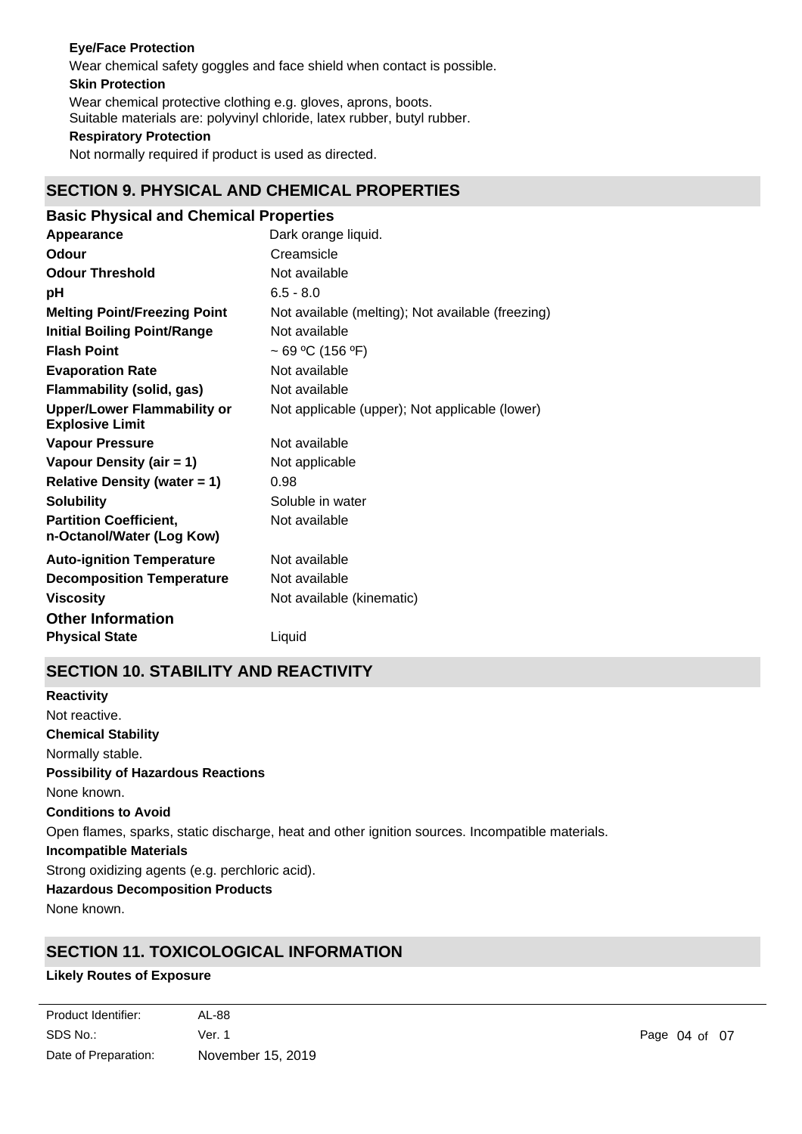### **Eye/Face Protection**

Wear chemical safety goggles and face shield when contact is possible.

## **Skin Protection**

**Respiratory Protection** Wear chemical protective clothing e.g. gloves, aprons, boots. Suitable materials are: polyvinyl chloride, latex rubber, butyl rubber.

Not normally required if product is used as directed.

# **SECTION 9. PHYSICAL AND CHEMICAL PROPERTIES**

| <b>Basic Physical and Chemical Properties</b>                |                                                   |  |  |  |
|--------------------------------------------------------------|---------------------------------------------------|--|--|--|
| Appearance                                                   | Dark orange liquid.                               |  |  |  |
| <b>Odour</b>                                                 | Creamsicle                                        |  |  |  |
| <b>Odour Threshold</b>                                       | Not available                                     |  |  |  |
| рH                                                           | $6.5 - 8.0$                                       |  |  |  |
| <b>Melting Point/Freezing Point</b>                          | Not available (melting); Not available (freezing) |  |  |  |
| <b>Initial Boiling Point/Range</b>                           | Not available                                     |  |  |  |
| <b>Flash Point</b>                                           | ~ 69 °C (156 °F)                                  |  |  |  |
| <b>Evaporation Rate</b>                                      | Not available                                     |  |  |  |
| <b>Flammability (solid, gas)</b>                             | Not available                                     |  |  |  |
| <b>Upper/Lower Flammability or</b><br><b>Explosive Limit</b> | Not applicable (upper); Not applicable (lower)    |  |  |  |
| <b>Vapour Pressure</b>                                       | Not available                                     |  |  |  |
| Vapour Density (air = 1)                                     | Not applicable                                    |  |  |  |
| <b>Relative Density (water = 1)</b>                          | 0.98                                              |  |  |  |
| <b>Solubility</b>                                            | Soluble in water                                  |  |  |  |
| <b>Partition Coefficient,</b><br>n-Octanol/Water (Log Kow)   | Not available                                     |  |  |  |
| <b>Auto-ignition Temperature</b>                             | Not available                                     |  |  |  |
| <b>Decomposition Temperature</b>                             | Not available                                     |  |  |  |
| <b>Viscosity</b>                                             | Not available (kinematic)                         |  |  |  |
| <b>Other Information</b>                                     |                                                   |  |  |  |
| <b>Physical State</b>                                        | Liquid                                            |  |  |  |

# **SECTION 10. STABILITY AND REACTIVITY**

**Chemical Stability** Normally stable. **Conditions to Avoid** Open flames, sparks, static discharge, heat and other ignition sources. Incompatible materials. **Incompatible Materials** Strong oxidizing agents (e.g. perchloric acid). **Hazardous Decomposition Products** None known. **Possibility of Hazardous Reactions** None known. **Reactivity** Not reactive.

# **SECTION 11. TOXICOLOGICAL INFORMATION**

### **Likely Routes of Exposure**

| Product Identifier:  | AL-88             |
|----------------------|-------------------|
| SDS No.:             | Ver. 1            |
| Date of Preparation: | November 15, 2019 |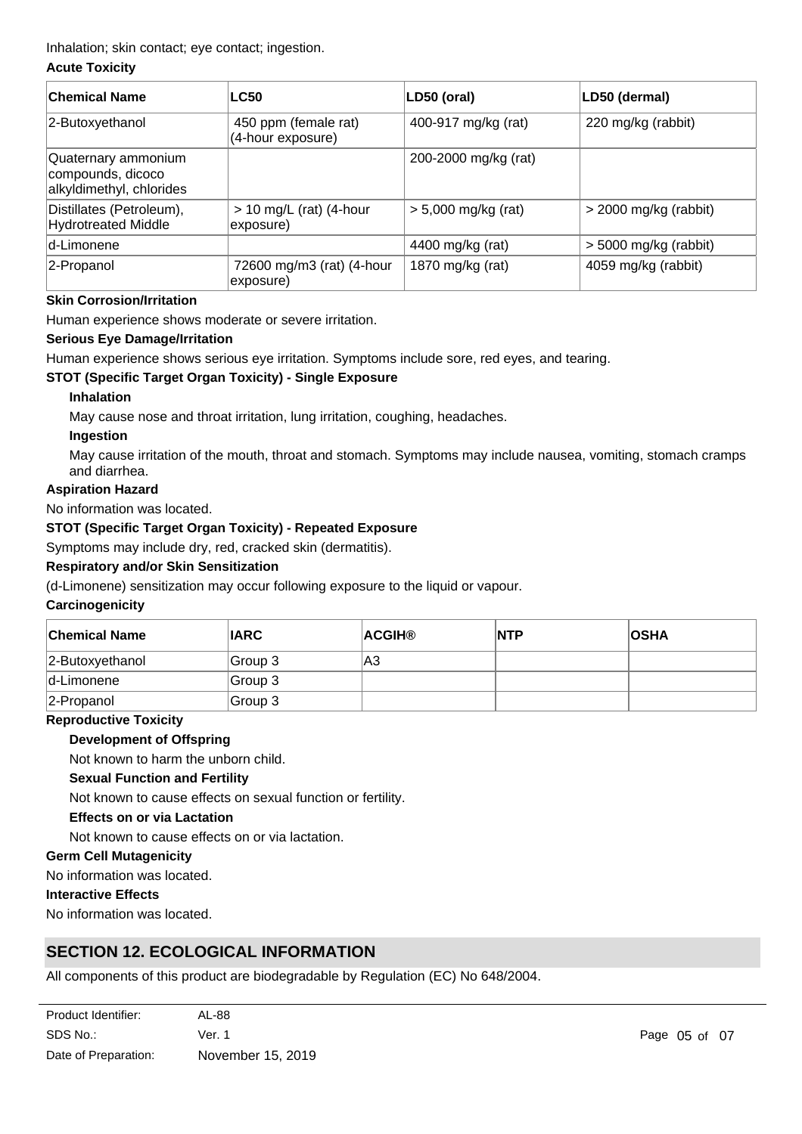Inhalation; skin contact; eye contact; ingestion.

#### **Acute Toxicity**

| <b>Chemical Name</b>                                                 | <b>LC50</b>                               | LD50 (oral)           | LD50 (dermal)           |
|----------------------------------------------------------------------|-------------------------------------------|-----------------------|-------------------------|
| 2-Butoxyethanol                                                      | 450 ppm (female rat)<br>(4-hour exposure) | 400-917 mg/kg (rat)   | 220 mg/kg (rabbit)      |
| Quaternary ammonium<br>compounds, dicoco<br>alkyldimethyl, chlorides |                                           | 200-2000 mg/kg (rat)  |                         |
| Distillates (Petroleum),<br><b>Hydrotreated Middle</b>               | $> 10$ mg/L (rat) (4-hour<br>exposure)    | $> 5,000$ mg/kg (rat) | > 2000 mg/kg (rabbit)   |
| d-Limonene                                                           |                                           | 4400 mg/kg (rat)      | $>$ 5000 mg/kg (rabbit) |
| 2-Propanol                                                           | 72600 mg/m3 (rat) (4-hour<br>exposure)    | 1870 mg/kg (rat)      | 4059 mg/kg (rabbit)     |

#### **Skin Corrosion/Irritation**

Human experience shows moderate or severe irritation.

#### **Serious Eye Damage/Irritation**

Human experience shows serious eye irritation. Symptoms include sore, red eyes, and tearing.

#### **STOT (Specific Target Organ Toxicity) - Single Exposure**

#### **Inhalation**

May cause nose and throat irritation, lung irritation, coughing, headaches.

#### **Ingestion**

May cause irritation of the mouth, throat and stomach. Symptoms may include nausea, vomiting, stomach cramps and diarrhea.

#### **Aspiration Hazard**

No information was located.

#### **STOT (Specific Target Organ Toxicity) - Repeated Exposure**

Symptoms may include dry, red, cracked skin (dermatitis).

### **Respiratory and/or Skin Sensitization**

(d-Limonene) sensitization may occur following exposure to the liquid or vapour.

#### **Carcinogenicity**

| <b>Chemical Name</b> | <b>IARC</b> | <b>ACGIH®</b> | <b>NTP</b> | <b>OSHA</b> |
|----------------------|-------------|---------------|------------|-------------|
| 2-Butoxyethanol      | Group 3     | A3            |            |             |
| d-Limonene           | Group 3     |               |            |             |
| $ 2$ -Propanol       | Group 3     |               |            |             |

#### **Reproductive Toxicity**

#### **Development of Offspring**

Not known to harm the unborn child.

#### **Sexual Function and Fertility**

Not known to cause effects on sexual function or fertility.

#### **Effects on or via Lactation**

Not known to cause effects on or via lactation.

### **Germ Cell Mutagenicity**

No information was located.

## **Interactive Effects**

No information was located.

# **SECTION 12. ECOLOGICAL INFORMATION**

All components of this product are biodegradable by Regulation (EC) No 648/2004.

| Product Identifier:  | AL-88             |
|----------------------|-------------------|
| SDS No.:             | Ver. 1            |
| Date of Preparation: | November 15, 2019 |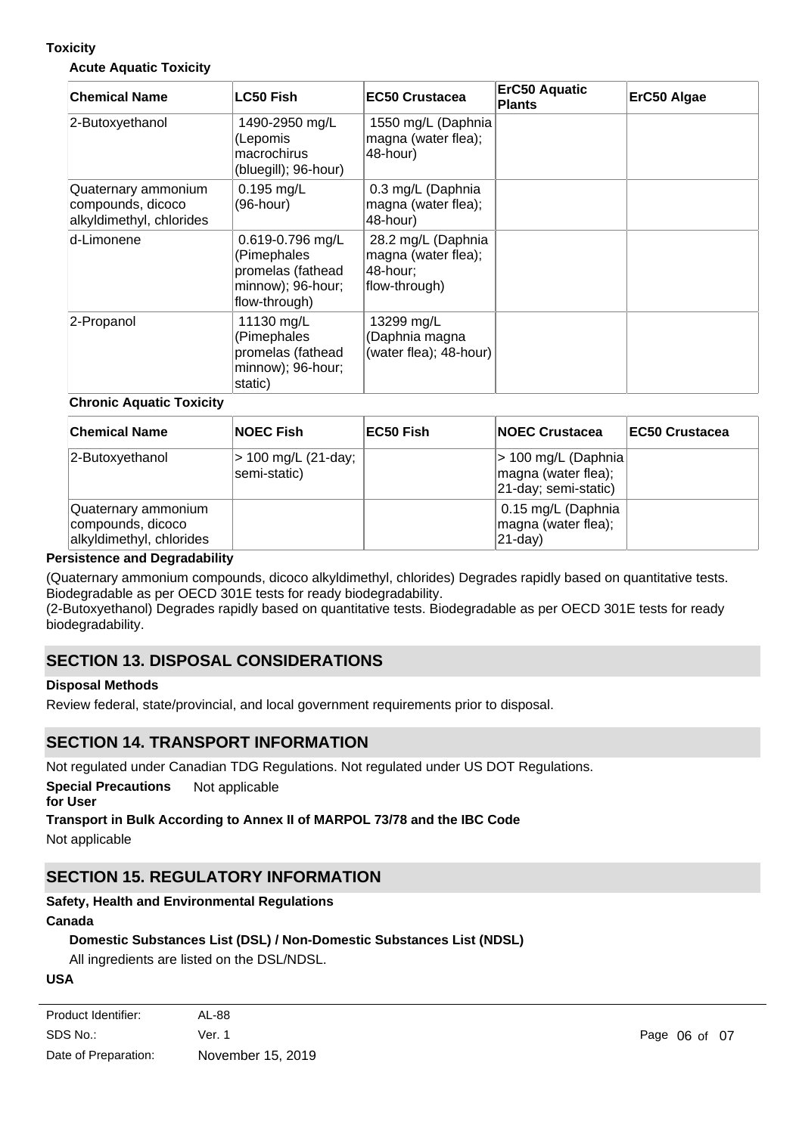### **Toxicity**

#### **Acute Aquatic Toxicity**

| <b>Chemical Name</b>                                                 | LC50 Fish                                                                                  | <b>EC50 Crustacea</b>                                                  | <b>ErC50 Aquatic</b><br><b>Plants</b> | ErC50 Algae |
|----------------------------------------------------------------------|--------------------------------------------------------------------------------------------|------------------------------------------------------------------------|---------------------------------------|-------------|
| 2-Butoxyethanol                                                      | 1490-2950 mg/L<br>(Lepomis<br>macrochirus<br>(bluegill); 96-hour)                          | 1550 mg/L (Daphnia<br>magna (water flea);<br>48-hour)                  |                                       |             |
| Quaternary ammonium<br>compounds, dicoco<br>alkyldimethyl, chlorides | $0.195$ mg/L<br>(96-hour)                                                                  | 0.3 mg/L (Daphnia<br>magna (water flea);<br>48-hour)                   |                                       |             |
| d-Limonene                                                           | 0.619-0.796 mg/L<br>(Pimephales<br>promelas (fathead<br>minnow); 96-hour;<br>flow-through) | 28.2 mg/L (Daphnia<br>magna (water flea);<br>48-hour;<br>flow-through) |                                       |             |
| 2-Propanol                                                           | 11130 mg/L<br>(Pimephales<br>promelas (fathead<br>minnow); 96-hour;<br>static)             | 13299 mg/L<br>(Daphnia magna<br>(water flea); 48-hour)                 |                                       |             |

#### **Chronic Aquatic Toxicity**

| <b>Chemical Name</b>                                                 | <b>NOEC Fish</b>                    | ∣EC50 Fish | <b>INOEC Crustacea</b>                                              | <b>IEC50 Crustacea</b> |
|----------------------------------------------------------------------|-------------------------------------|------------|---------------------------------------------------------------------|------------------------|
| 2-Butoxyethanol                                                      | > 100 mg/L (21-day;<br>semi-static) |            | > 100 mg/L (Daphnia)<br>magna (water flea);<br>21-day; semi-static) |                        |
| Quaternary ammonium<br>compounds, dicoco<br>alkyldimethyl, chlorides |                                     |            | 0.15 mg/L (Daphnia<br>magna (water flea);<br>$ 21$ -day)            |                        |

#### **Persistence and Degradability**

(Quaternary ammonium compounds, dicoco alkyldimethyl, chlorides) Degrades rapidly based on quantitative tests. Biodegradable as per OECD 301E tests for ready biodegradability.

(2-Butoxyethanol) Degrades rapidly based on quantitative tests. Biodegradable as per OECD 301E tests for ready biodegradability.

## **SECTION 13. DISPOSAL CONSIDERATIONS**

### **Disposal Methods**

Review federal, state/provincial, and local government requirements prior to disposal.

### **SECTION 14. TRANSPORT INFORMATION**

Not regulated under Canadian TDG Regulations. Not regulated under US DOT Regulations.

**Special Precautions** Not applicable

## **for User**

## **Transport in Bulk According to Annex II of MARPOL 73/78 and the IBC Code**

Not applicable

# **SECTION 15. REGULATORY INFORMATION**

**Toxic Substances Control Act (TSCA) Section 8(b)**

## **Safety, Health and Environmental Regulations**

### **Canada**

## **Domestic Substances List (DSL) / Non-Domestic Substances List (NDSL)**

All ingredients are listed on the DSL/NDSL.

## **USA**

| Product Identifier:  | AL-88             |
|----------------------|-------------------|
| SDS No.:             | Ver. 1            |
| Date of Preparation: | November 15, 2019 |